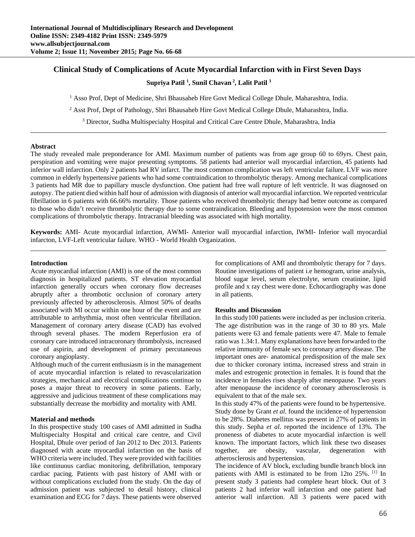# **Clinical Study of Complications of Acute Myocardial Infarction with in First Seven Days**

**Supriya Patil 1 , Sunil Chavan 2, Lalit Patil 3**

<sup>1</sup> Asso Prof, Dept of Medicine, Shri Bhausaheb Hire Govt Medical College Dhule, Maharashtra, India.

<sup>2</sup> Asst Prof, Dept of Pathology, Shri Bhausaheb Hire Govt Medical College Dhule, Maharashtra, India.

<sup>3</sup> Director, Sudha Multispecialty Hospital and Critical Care Centre Dhule, Maharashtra, India

#### **Abstract**

The study revealed male preponderance for AMI. Maximum number of patients was from age group 60 to 69yrs. Chest pain, perspiration and vomiting were major presenting symptoms. 58 patients had anterior wall myocardial infarction, 45 patients had inferior wall infarction. Only 2 patients had RV infarct. The most common complication was left ventricular failure. LVF was more common in elderly hypertensive patients who had some contraindication to thrombolytic therapy. Among mechanical complications 3 patients had MR due to papillary muscle dysfunction. One patient had free wall rupture of left ventricle. It was diagnosed on autopsy. The patient died within half hour of admission with diagnosis of anterior wall myocardial infarction. We reported ventricular fibrillation in 6 patients with 66.66% mortality. Those patients who received thrombolytic therapy had better outcome as compared to those who didn't receive thrombolytic therapy due to some contraindication. Bleeding and hypotension were the most common complications of thrombolytic therapy. Intracranial bleeding was associated with high mortality.

**Keywords:** AMI- Acute myocardial infarction, AWMI- Anterior wall myocardial infarction, IWMI- Inferior wall myocardial infarcton, LVF-Left ventricular failure. WHO - World Health Organization.

#### **Introduction**

Acute myocardial infarction (AMI) is one of the most common diagnosis in hospitalized patients. ST elevation myocardial infarction generally occurs when coronary flow decreases abruptly after a thrombotic occlusion of coronary artery previously affected by atherosclerosis. Almost 50% of deaths associated with MI occur within one hour of the event and are attributable to arrhythmia, most often ventricular fibrillation. Management of coronary artery disease (CAD) has evolved through several phases. The modern Reperfusion era of coronary care introduced intracoronary thrombolysis, increased use of aspirin, and development of primary percutaneous coronary angioplasty.

Although much of the current enthusiasm is in the management of acute myocardial infarction is related to revascularization strategies, mechanical and electrical complications continue to poses a major threat to recovery in some patients. Early, aggressive and judicious treatment of these complications may substantially decrease the morbidity and mortality with AMI.

## **Material and methods**

In this prospective study 100 cases of AMI admitted in Sudha Multispecialty Hospital and critical care centre, and Civil Hospital, Dhule over period of Jan 2012 to Dec 2013. Patients diagnosed with acute myocardial infarction on the basis of WHO criteria were included. They were provided with facilities like continuous cardiac monitoring, defibrillation, temporary cardiac pacing. Patients with past history of AMI with or without complications excluded from the study. On the day of admission patient was subjected to detail history, clinical examination and ECG for 7 days. These patients were observed for complications of AMI and thrombolytic therapy for 7 days. Routine investigations of patient i.e hemogram, urine analysis, blood sugar level, serum electrolyte, serum creatinine, lipid profile and x ray chest were done. Echocardiography was done in all patients.

#### **Results and Discussion**

In this study100 patients were included as per inclusion criteria. The age distribution was in the range of 30 to 80 yrs. Male patients were 63 and female patients were 47. Male to female ratio was 1.34:1. Many explanations have been forwarded to the relative immunity of female sex to coronary artery disease. The important ones are- anatomical predisposition of the male sex due to thicker coronary intima, increased stress and strain in males and estrogenic protection in females. It is found that the incidence in females rises sharply after menopause. Two years after menopause the incidence of coronary atherosclerosis is equivalent to that of the male sex.

In this study 47% of the patients were found to be hypertensive. Study done by Grant *et al.* found the incidence of hypertension to be 28%. Diabetes mellitus was present in 27% of patients in this study. Sepha *et al.* reported the incidence of 13%. The proneness of diabetes to acute myocardial infarction is well known. The important factors, which link these two diseases together, are obesity, vascular, degeneration with atherosclerosis and hypertension.

The incidence of AV block, excluding bundle branch block inn patients with AMI is estimated to be from 12to 25%. [1] In present study 3 patients had complete heart block. Out of 3 patients 2 had inferior wall infarction and one patient had anterior wall infarction. All 3 patients were paced with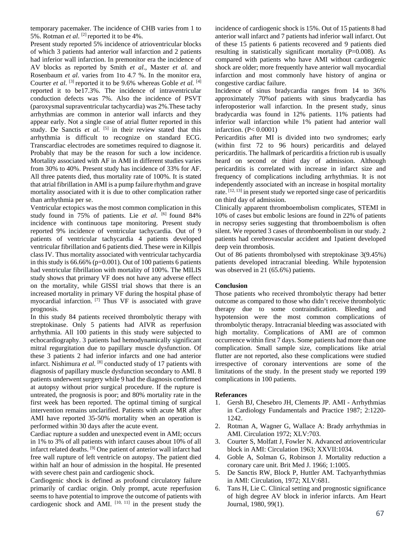temporary pacemaker. The incidence of CHB varies from 1 to 5%. Rotman *et al*. [2] reported it to be 4%.

Present study reported 5% incidence of atrioventricular blocks of which 3 patients had anterior wall infarction and 2 patients had inferior wall infarction. In premonitor era the incidence of AV blocks as reported by Smith *et al*., Master *et al.* and Rosenbaum *et al*. varies from 1to 4.7 %. In the monitor era, Courter *et al.* [3] reported it to be 9.6% whereas Goble *et al.* [4] reported it to be17.3%. The incidence of intraventricular conduction defects was 7%. Also the incidence of PSVT (paroxysmal supraventricular tachycardia) was 2%.These tachy arrhythmias are common in anterior wall infarcts and they appear early. Not a single case of atrial flutter reported in this study. De Sanctis et al. [5] in their review stated that this arrhythmia is difficult to recognize on standard ECG. Transcardiac electrodes are sometimes required to diagnose it. Probably that may be the reason for such a low incidence. Mortality associated with AF in AMI in different studies varies from 30% to 40%. Present study has incidence of 33% for AF. All three patents died, thus mortality rate of 100%. It is stated that atrial fibrillation in AMI is a pump failure rhythm and grave mortality associated with it is due to other complication rather than arrhythmia per se.

Ventricular ectopics was the most common complication in this study found in 75% of patients. Lie et al. [6] found 84% incidence with continuous tape monitoring. Present study reported 9% incidence of ventricular tachycardia. Out of 9 patients of ventricular tachycardia 4 patients developed ventricular fibrillation and 6 patients died. These were in Killpis class IV. Thus mortality associated with ventricular tachycardia in this study is 66.66% (p=0.001). Out of 100 patients 6 patients had ventricular fibrillation with mortality of 100%. The MILIS study shows that primary VF does not have any adverse effect on the mortality, while GISSI trial shows that there is an increased mortality in primary VF during the hospital phase of myocardial infarction. [7] Thus VF is associated with grave prognosis.

In this study 84 patients received thrombolytic therapy with streptokinase. Only 5 patients had AIVR as reperfusion arrhythmia. All 100 patients in this study were subjected to echocardiography. 3 patients had hemodynamically significant mitral regurgitation due to papillary muscle dysfunction. Of these 3 patients 2 had inferior infarcts and one had anterior infarct. Nishimura *et al*. [8] conducted study of 17 patients with diagnosis of papillary muscle dysfunction secondary to AMI. 8 patients underwent surgery while 9 had the diagnosis confirmed at autopsy without prior surgical procedure. If the rupture is untreated, the prognosis is poor; and 80% mortality rate in the first week has been reported. The optimal timing of surgical intervention remains unclarified. Patients with acute MR after AMI have reported 35-50% mortality when an operation is performed within 30 days after the acute event.

Cardiac rupture a sudden and unexpected event in AMI; occurs in 1% to 3% of all patients with infarct causes about 10% of all infarct related deaths. [9] One patient of anterior wall infarct had free wall rupture of left ventricle on autopsy. The patient died within half an hour of admission in the hospital. He presented with severe chest pain and cardiogenic shock.

Cardiogenic shock is defined as profound circulatory failure primarily of cardiac origin. Only prompt, acute reperfusion seems to have potential to improve the outcome of patients with cardiogenic shock and AMI.  $[10, 11]$  in the present study the

incidence of cardiogenic shock is 15%. Out of 15 patients 8 had anterior wall infarct and 7 patients had inferior wall infarct. Out of these 15 patients 6 patients recovered and 9 patients died resulting in statistically significant mortality (P=0.008). As compared with patients who have AMI without cardiogenic shock are older; more frequently have anterior wall myocardial infarction and most commonly have history of angina or congestive cardiac failure.

Incidence of sinus bradycardia ranges from 14 to 36% approximately 70%of patients with sinus bradycardia has inferoposterior wall infarction. In the present study, sinus bradycardia was found in 12% patients. 11% patients had inferior wall infarction while 1% patient had anterior wall infarction. (P< 0.0001)

Pericarditis after MI is divided into two syndromes; early (within first 72 to 96 hours) pericarditis and delayed pericarditis. The hallmark of pericarditis a friction rub is usually heard on second or third day of admission. Although pericarditis is correlated with increase in infarct size and frequency of complications including arrhythmias. It is not independently associated with an increase in hospital mortality rate. [12, 13] in present study we reported singe case of pericarditis on third day of admission.

Clinically apparent thromboembolism complicates, STEMI in 10% of cases but embolic lesions are found in 22% of patients in necropsy series suggesting that thromboembolism is often silent. We reported 3 cases of thromboembolism in our study. 2 patients had cerebrovascular accident and 1patient developed deep vein thrombosis.

Out of 86 patients thrombolysed with streptokinase 3(9.45%) patients developed intracranial bleeding. While hypotension was observed in 21 (65.6%) patients.

## **Conclusion**

Those patients who received thrombolytic therapy had better outcome as compared to those who didn't receive thrombolytic therapy due to some contraindication. Bleeding and hypotension were the most common complications of thrombolytic therapy. Intracranial bleeding was associated with high mortality. Complications of AMI are of common occurrence within first 7 days. Some patients had more than one complication. Small sample size, complications like atrial flutter are not reported, also these complications were studied irrespective of coronary interventions are some of the limitations of the study. In the present study we reported 199 complications in 100 patients.

## **Referances**

- 1. Gersh BJ, Chesebro JH, Clements JP. AMI Arrhythmias in Cardiology Fundamentals and Practice 1987; 2:1220- 1242.
- 2. Rotman A, Wagner G, Wallace A: Brady arrhythmias in AMI. Circulation 1972; XLV:703.
- 3. Courter S, Molfatt J, Fowler N. Advanced atrioventricular block in AMI: Circulation 1963; XXVII:1034.
- 4. Goble A, Solman G, Robinson J. Mortality reduction a coronary care unit. Brit Med J. 1966; 1:1005.
- 5. De Sanctis RW, Block P, Huttler AM. Tachyarrhythmias in AMI: Circulation, 1972; XLV:681.
- 6. Tans H, Lie C. Clinical setting and prognostic significance of high degree AV block in inferior infarcts. Am Heart Journal, 1980, 99(1).